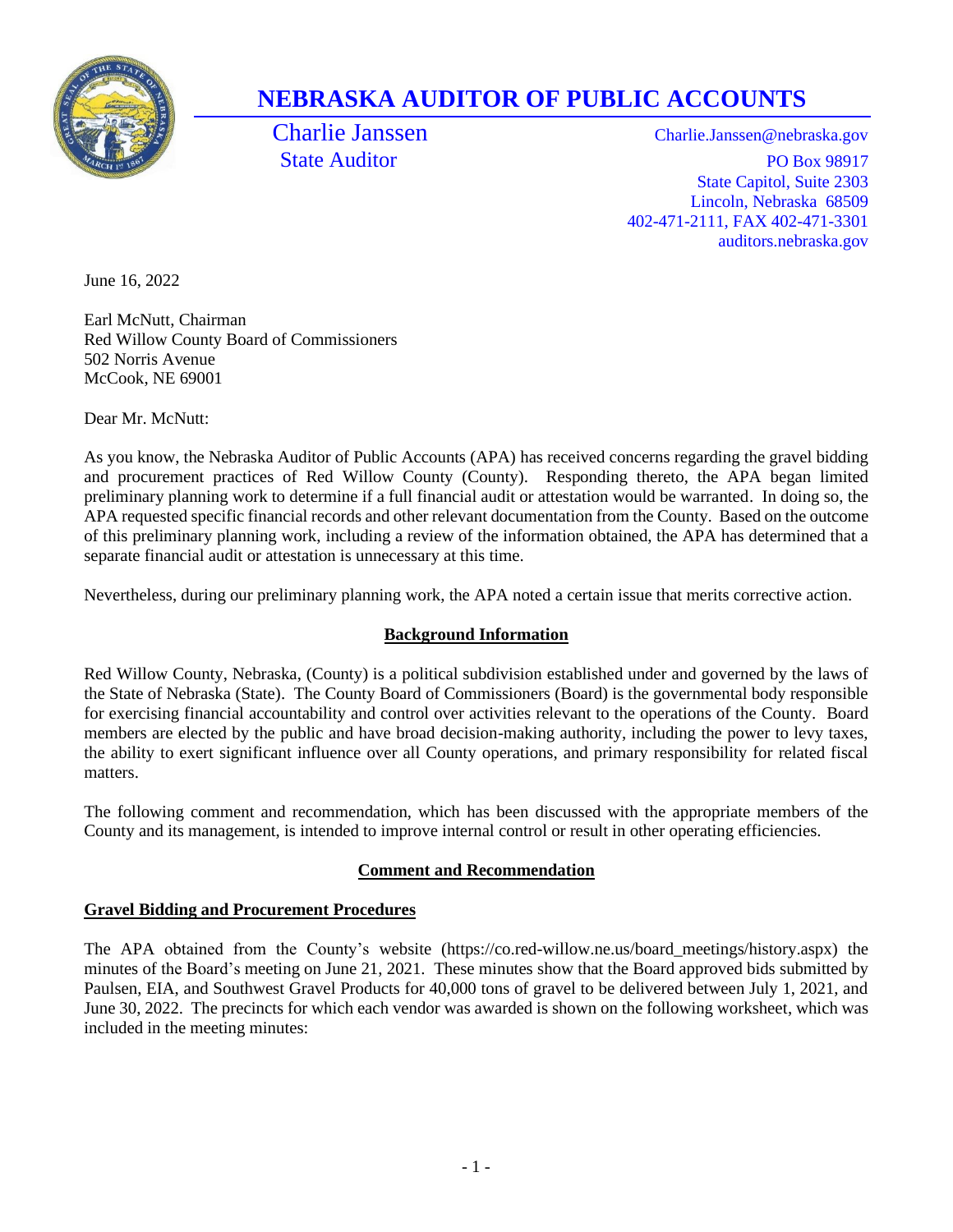

## **NEBRASKA AUDITOR OF PUBLIC ACCOUNTS**

Charlie Janssen Charlie.Janssen@nebraska.gov State Auditor PO Box 98917 State Capitol, Suite 2303 Lincoln, Nebraska 68509 402-471-2111, FAX 402-471-3301 auditors.nebraska.gov

June 16, 2022

Earl McNutt, Chairman Red Willow County Board of Commissioners 502 Norris Avenue McCook, NE 69001

Dear Mr. McNutt:

As you know, the Nebraska Auditor of Public Accounts (APA) has received concerns regarding the gravel bidding and procurement practices of Red Willow County (County). Responding thereto, the APA began limited preliminary planning work to determine if a full financial audit or attestation would be warranted. In doing so, the APA requested specific financial records and other relevant documentation from the County. Based on the outcome of this preliminary planning work, including a review of the information obtained, the APA has determined that a separate financial audit or attestation is unnecessary at this time.

Nevertheless, during our preliminary planning work, the APA noted a certain issue that merits corrective action.

## **Background Information**

Red Willow County, Nebraska, (County) is a political subdivision established under and governed by the laws of the State of Nebraska (State). The County Board of Commissioners (Board) is the governmental body responsible for exercising financial accountability and control over activities relevant to the operations of the County. Board members are elected by the public and have broad decision-making authority, including the power to levy taxes, the ability to exert significant influence over all County operations, and primary responsibility for related fiscal matters.

The following comment and recommendation, which has been discussed with the appropriate members of the County and its management, is intended to improve internal control or result in other operating efficiencies.

## **Comment and Recommendation**

## **Gravel Bidding and Procurement Procedures**

The APA obtained from the County's website [\(https://co.red-willow.ne.us/board\\_meetings/history.aspx\)](https://co.red-willow.ne.us/board_meetings/history.aspx) the minutes of the Board's meeting on June 21, 2021. These minutes show that the Board approved bids submitted by Paulsen, EIA, and Southwest Gravel Products for 40,000 tons of gravel to be delivered between July 1, 2021, and June 30, 2022. The precincts for which each vendor was awarded is shown on the following worksheet, which was included in the meeting minutes: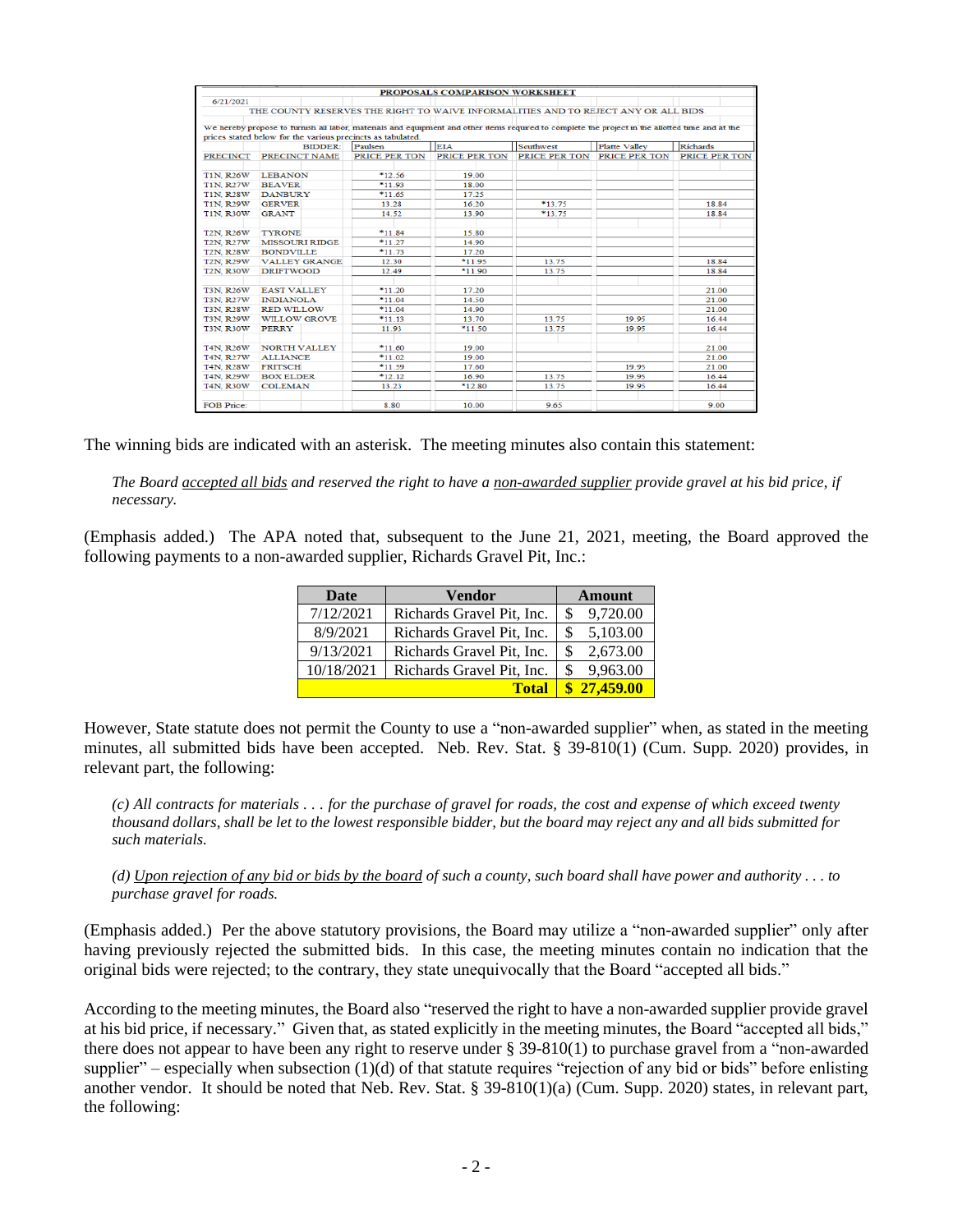|                   |                                                                                                                                                  |               | PROPOSALS COMPARISON WORKSHEET |               |               |                 |
|-------------------|--------------------------------------------------------------------------------------------------------------------------------------------------|---------------|--------------------------------|---------------|---------------|-----------------|
| 6/21/2021         |                                                                                                                                                  |               |                                |               |               |                 |
|                   | THE COUNTY RESERVES THE RIGHT TO WAIVE INFORMALITIES AND TO REJECT ANY OR ALL BIDS.                                                              |               |                                |               |               |                 |
|                   | We hereby propose to furnish all labor, materials and equipment and other items required to complete the project in the allotted time and at the |               |                                |               |               |                 |
|                   | prices stated below for the various precincts as tabulated.                                                                                      |               |                                |               |               |                 |
|                   | <b>BIDDER:</b>                                                                                                                                   | Paulsen       | <b>EIA</b>                     | Southwest     | Platte Valley | <b>Richards</b> |
| <b>PRECINCT</b>   | PRECINCT NAME                                                                                                                                    | PRICE PER TON | PRICE PER TON                  | PRICE PER TON | PRICE PER TON | PRICE PER TON   |
| <b>T1N, R26W</b>  | <b>LEBANON</b>                                                                                                                                   | *12.56        | 19.00                          |               |               |                 |
| <b>T1N, R27W</b>  | <b>BEAVER</b>                                                                                                                                    | $*11.93$      | 18.00                          |               |               |                 |
| <b>T1N, R28W</b>  | <b>DANBURY</b>                                                                                                                                   | $*11.65$      | 17.25                          |               |               |                 |
| <b>T1N, R29W</b>  | <b>GERVER</b>                                                                                                                                    | 13.28         | 16.20                          | *13.75        |               | 18.84           |
| <b>T1N, R30W</b>  | <b>GRANT</b>                                                                                                                                     | 14.52         | 13.90                          | $*13.75$      |               | 18.84           |
| <b>T2N, R26W</b>  | <b>TYRONE</b>                                                                                                                                    | $*11.84$      | 15.80                          |               |               |                 |
| <b>T2N, R27W</b>  | <b>MISSOURI RIDGE</b>                                                                                                                            | $*11.27$      | 14.90                          |               |               |                 |
| <b>T2N, R28W</b>  | <b>BONDVILLE</b>                                                                                                                                 | *11.73        | 17.20                          |               |               |                 |
| <b>T2N, R29W</b>  | <b>VALLEY GRANGE</b>                                                                                                                             | 12.30         | $*11.95$                       | 13.75         |               | 18.84           |
| <b>T2N, R30W</b>  | <b>DRIFTWOOD</b>                                                                                                                                 | 12.49         | $*11.90$                       | 13.75         |               | 18.84           |
| <b>T3N, R26W</b>  | <b>EAST VALLEY</b>                                                                                                                               | $*11.20$      | 17.20                          |               |               | 21.00           |
| <b>T3N, R27W</b>  | <b>INDIANOLA</b>                                                                                                                                 | $*11.04$      | 14.50                          |               |               | 21.00           |
| <b>T3N, R28W</b>  | <b>RED WILLOW</b>                                                                                                                                | $*11.04$      | 14.90                          |               |               | 21.00           |
| <b>T3N, R29W</b>  | <b>WILLOW GROVE</b>                                                                                                                              | $*11.13$      | 13.70                          | 13.75         | 19.95         | 16.44           |
| <b>T3N, R30W</b>  | <b>PERRY</b>                                                                                                                                     | 11.93         | $*11.50$                       | 13.75         | 19.95         | 16.44           |
| <b>T4N, R26W</b>  | <b>NORTH VALLEY</b>                                                                                                                              | $*11.60$      | 19.00                          |               |               | 21.00           |
| <b>T4N, R27W</b>  | <b>ALLIANCE</b>                                                                                                                                  | *11.02        | 19 00                          |               |               | 21.00           |
| <b>T4N, R28W</b>  | <b>FRITSCH</b>                                                                                                                                   | *11.59        | 17.60                          |               | 19.95         | 21.00           |
| <b>T4N, R29W</b>  | <b>BOX ELDER</b>                                                                                                                                 | $*12.12$      | 16.90                          | 13.75         | 19.95         | 16.44           |
| <b>T4N, R30W</b>  | <b>COLEMAN</b>                                                                                                                                   | 13.23         | $*12.80$                       | 13.75         | 19.95         | 16.44           |
| <b>FOB Price:</b> |                                                                                                                                                  | 8.80          | 10.00                          | 9.65          |               | 9.00            |

The winning bids are indicated with an asterisk. The meeting minutes also contain this statement:

*The Board accepted all bids and reserved the right to have a non-awarded supplier provide gravel at his bid price, if necessary.*

(Emphasis added.) The APA noted that, subsequent to the June 21, 2021, meeting, the Board approved the following payments to a non-awarded supplier, Richards Gravel Pit, Inc.:

| <b>Date</b> | <b>Vendor</b>             | <b>Amount</b> |  |
|-------------|---------------------------|---------------|--|
| 7/12/2021   | Richards Gravel Pit, Inc. | 9,720.00<br>S |  |
| 8/9/2021    | Richards Gravel Pit, Inc. | 5,103.00<br>S |  |
| 9/13/2021   | Richards Gravel Pit, Inc. | 2,673.00<br>S |  |
| 10/18/2021  | Richards Gravel Pit, Inc. | 9,963.00<br>S |  |
|             | <b>Total</b>              | \$27,459.00   |  |

However, State statute does not permit the County to use a "non-awarded supplier" when, as stated in the meeting minutes, all submitted bids have been accepted. Neb. Rev. Stat. § 39-810(1) (Cum. Supp. 2020) provides, in relevant part, the following:

*(c) All contracts for materials . . . for the purchase of gravel for roads, the cost and expense of which exceed twenty thousand dollars, shall be let to the lowest responsible bidder, but the board may reject any and all bids submitted for such materials.*

*(d) Upon rejection of any bid or bids by the board of such a county, such board shall have power and authority . . . to purchase gravel for roads.*

(Emphasis added.) Per the above statutory provisions, the Board may utilize a "non-awarded supplier" only after having previously rejected the submitted bids. In this case, the meeting minutes contain no indication that the original bids were rejected; to the contrary, they state unequivocally that the Board "accepted all bids."

According to the meeting minutes, the Board also "reserved the right to have a non-awarded supplier provide gravel at his bid price, if necessary." Given that, as stated explicitly in the meeting minutes, the Board "accepted all bids," there does not appear to have been any right to reserve under § 39-810(1) to purchase gravel from a "non-awarded supplier" – especially when subsection  $(1)(d)$  of that statute requires "rejection of any bid or bids" before enlisting another vendor. It should be noted that Neb. Rev. Stat. § 39-810(1)(a) (Cum. Supp. 2020) states, in relevant part, the following: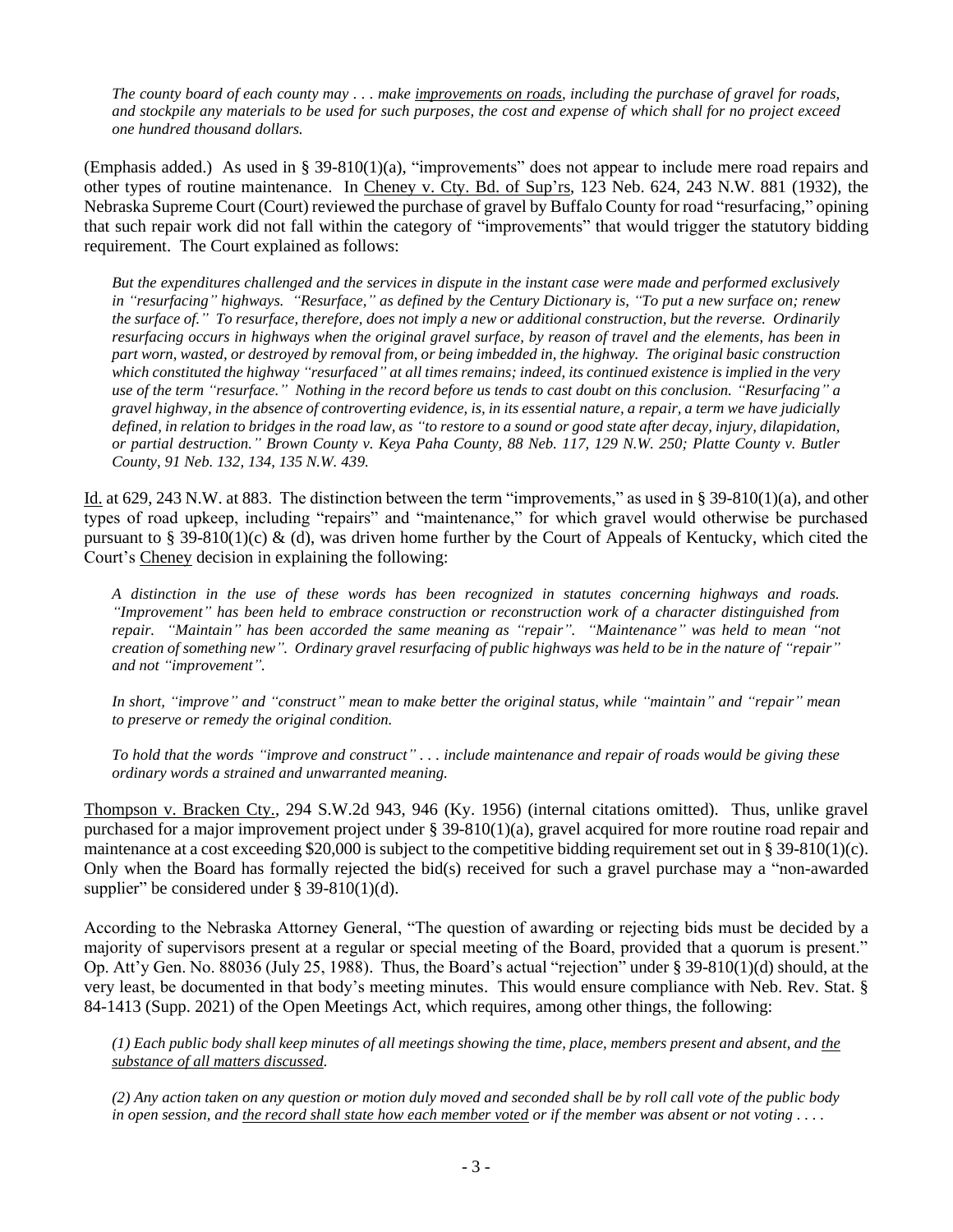*The county board of each county may . . . make improvements on roads, including the purchase of gravel for roads, and stockpile any materials to be used for such purposes, the cost and expense of which shall for no project exceed one hundred thousand dollars.*

(Emphasis added.) As used in § 39-810(1)(a), "improvements" does not appear to include mere road repairs and other types of routine maintenance. In Cheney v. Cty. Bd. of Sup'rs, 123 Neb. 624, 243 N.W. 881 (1932), the Nebraska Supreme Court (Court) reviewed the purchase of gravel by Buffalo County for road "resurfacing," opining that such repair work did not fall within the category of "improvements" that would trigger the statutory bidding requirement. The Court explained as follows:

*But the expenditures challenged and the services in dispute in the instant case were made and performed exclusively in "resurfacing" highways. "Resurface," as defined by the Century Dictionary is, "To put a new surface on; renew the surface of." To resurface, therefore, does not imply a new or additional construction, but the reverse. Ordinarily resurfacing occurs in highways when the original gravel surface, by reason of travel and the elements, has been in part worn, wasted, or destroyed by removal from, or being imbedded in, the highway. The original basic construction which constituted the highway "resurfaced" at all times remains; indeed, its continued existence is implied in the very use of the term "resurface." Nothing in the record before us tends to cast doubt on this conclusion. "Resurfacing" a gravel highway, in the absence of controverting evidence, is, in its essential nature, a repair, a term we have judicially defined, in relation to bridges in the road law, as "to restore to a sound or good state after decay, injury, dilapidation, or partial destruction." Brown County v. Keya Paha County, 88 Neb. 117, 129 N.W. 250; Platte County v. Butler County, 91 Neb. 132, 134, 135 N.W. 439.*

Id. at 629, 243 N.W. at 883. The distinction between the term "improvements," as used in § 39-810(1)(a), and other types of road upkeep, including "repairs" and "maintenance," for which gravel would otherwise be purchased pursuant to § 39-810(1)(c) & (d), was driven home further by the Court of Appeals of Kentucky, which cited the Court's Cheney decision in explaining the following:

*A distinction in the use of these words has been recognized in statutes concerning highways and roads. "Improvement" has been held to embrace construction or reconstruction work of a character distinguished from repair. "Maintain" has been accorded the same meaning as "repair". "Maintenance" was held to mean "not creation of something new". Ordinary gravel resurfacing of public highways was held to be in the nature of "repair" and not "improvement".* 

*In short, "improve" and "construct" mean to make better the original status, while "maintain" and "repair" mean to preserve or remedy the original condition.* 

*To hold that the words "improve and construct" . . . include maintenance and repair of roads would be giving these ordinary words a strained and unwarranted meaning.* 

Thompson v. Bracken Cty., 294 S.W.2d 943, 946 (Ky. 1956) (internal citations omitted). Thus, unlike gravel purchased for a major improvement project under § 39-810(1)(a), gravel acquired for more routine road repair and maintenance at a cost exceeding \$20,000 is subject to the competitive bidding requirement set out in § 39-810(1)(c). Only when the Board has formally rejected the bid(s) received for such a gravel purchase may a "non-awarded supplier" be considered under  $\S$  39-810(1)(d).

According to the Nebraska Attorney General, "The question of awarding or rejecting bids must be decided by a majority of supervisors present at a regular or special meeting of the Board, provided that a quorum is present." Op. Att'y Gen. No. 88036 (July 25, 1988). Thus, the Board's actual "rejection" under § 39-810(1)(d) should, at the very least, be documented in that body's meeting minutes. This would ensure compliance with Neb. Rev. Stat. § 84-1413 (Supp. 2021) of the Open Meetings Act, which requires, among other things, the following:

*(1) Each public body shall keep minutes of all meetings showing the time, place, members present and absent, and the substance of all matters discussed.*

*(2) Any action taken on any question or motion duly moved and seconded shall be by roll call vote of the public body in open session, and the record shall state how each member voted or if the member was absent or not voting . . . .*